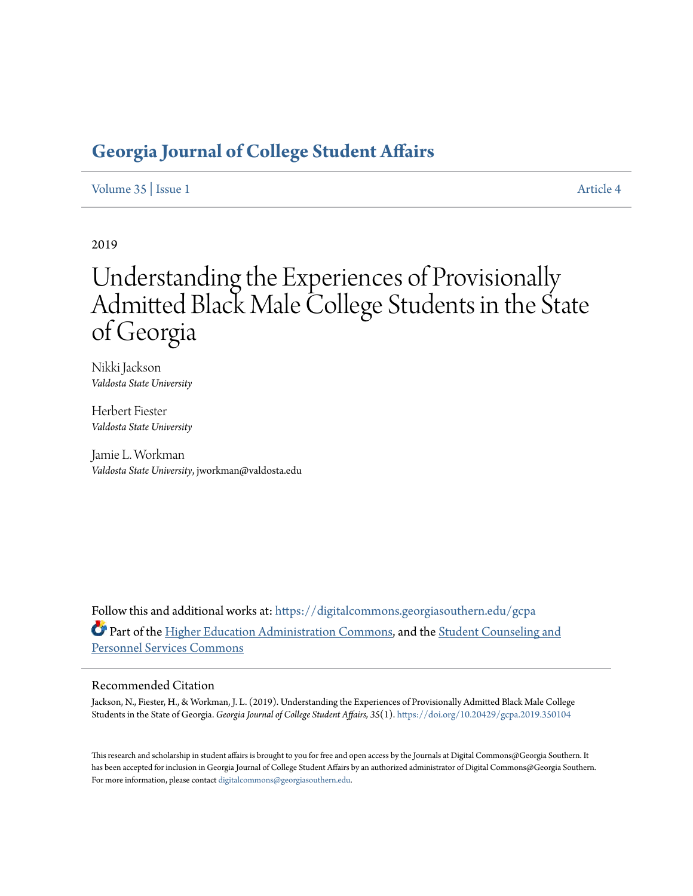# **[Georgia Journal of College Student Affairs](https://digitalcommons.georgiasouthern.edu/gcpa?utm_source=digitalcommons.georgiasouthern.edu%2Fgcpa%2Fvol35%2Fiss1%2F4&utm_medium=PDF&utm_campaign=PDFCoverPages)**

[Volume 35](https://digitalcommons.georgiasouthern.edu/gcpa/vol35?utm_source=digitalcommons.georgiasouthern.edu%2Fgcpa%2Fvol35%2Fiss1%2F4&utm_medium=PDF&utm_campaign=PDFCoverPages) | [Issue 1](https://digitalcommons.georgiasouthern.edu/gcpa/vol35/iss1?utm_source=digitalcommons.georgiasouthern.edu%2Fgcpa%2Fvol35%2Fiss1%2F4&utm_medium=PDF&utm_campaign=PDFCoverPages) [Article 4](https://digitalcommons.georgiasouthern.edu/gcpa/vol35/iss1/4?utm_source=digitalcommons.georgiasouthern.edu%2Fgcpa%2Fvol35%2Fiss1%2F4&utm_medium=PDF&utm_campaign=PDFCoverPages)

2019

# Understanding the Experiences of Provisionally Admitted Black Male College Students in the State of Georgia

Nikki Jackson *Valdosta State University*

Herbert Fiester *Valdosta State University*

Jamie L. Workman *Valdosta State University*, jworkman@valdosta.edu

Follow this and additional works at: [https://digitalcommons.georgiasouthern.edu/gcpa](https://digitalcommons.georgiasouthern.edu/gcpa?utm_source=digitalcommons.georgiasouthern.edu%2Fgcpa%2Fvol35%2Fiss1%2F4&utm_medium=PDF&utm_campaign=PDFCoverPages) Part of the [Higher Education Administration Commons](http://network.bepress.com/hgg/discipline/791?utm_source=digitalcommons.georgiasouthern.edu%2Fgcpa%2Fvol35%2Fiss1%2F4&utm_medium=PDF&utm_campaign=PDFCoverPages), and the [Student Counseling and](http://network.bepress.com/hgg/discipline/802?utm_source=digitalcommons.georgiasouthern.edu%2Fgcpa%2Fvol35%2Fiss1%2F4&utm_medium=PDF&utm_campaign=PDFCoverPages) [Personnel Services Commons](http://network.bepress.com/hgg/discipline/802?utm_source=digitalcommons.georgiasouthern.edu%2Fgcpa%2Fvol35%2Fiss1%2F4&utm_medium=PDF&utm_campaign=PDFCoverPages)

#### Recommended Citation

Jackson, N., Fiester, H., & Workman, J. L. (2019). Understanding the Experiences of Provisionally Admitted Black Male College Students in the State of Georgia. *Georgia Journal of College Student Affairs, 35*(1). <https://doi.org/10.20429/gcpa.2019.350104>

This research and scholarship in student affairs is brought to you for free and open access by the Journals at Digital Commons@Georgia Southern. It has been accepted for inclusion in Georgia Journal of College Student Affairs by an authorized administrator of Digital Commons@Georgia Southern. For more information, please contact [digitalcommons@georgiasouthern.edu.](mailto:digitalcommons@georgiasouthern.edu)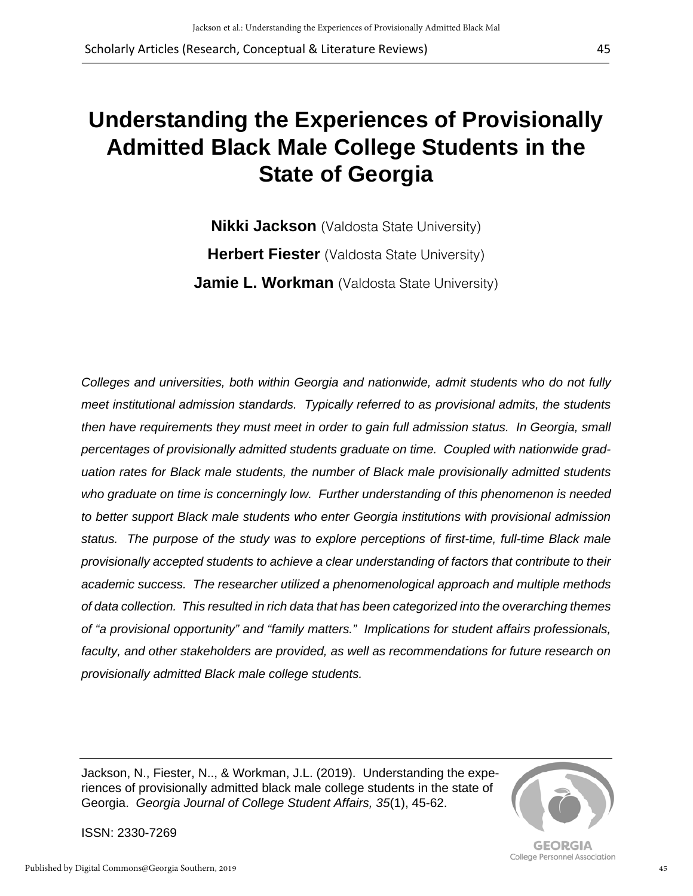# **Understanding the Experiences of Provisionally Admitted Black Male College Students in the State of Georgia**

**Nikki Jackson** (Valdosta State University) **Herbert Fiester** (Valdosta State University) **Jamie L. Workman** (Valdosta State University)

*Colleges and universities, both within Georgia and nationwide, admit students who do not fully meet institutional admission standards. Typically referred to as provisional admits, the students then have requirements they must meet in order to gain full admission status. In Georgia, small percentages of provisionally admitted students graduate on time. Coupled with nationwide graduation rates for Black male students, the number of Black male provisionally admitted students who graduate on time is concerningly low. Further understanding of this phenomenon is needed to better support Black male students who enter Georgia institutions with provisional admission status. The purpose of the study was to explore perceptions of first-time, full-time Black male provisionally accepted students to achieve a clear understanding of factors that contribute to their academic success. The researcher utilized a phenomenological approach and multiple methods of data collection. This resulted in rich data that has been categorized into the overarching themes of "a provisional opportunity" and "family matters." Implications for student affairs professionals, faculty, and other stakeholders are provided, as well as recommendations for future research on provisionally admitted Black male college students.* 

Jackson, N., Fiester, N.., & Workman, J.L. (2019). Understanding the experiences of provisionally admitted black male college students in the state of Georgia. *Georgia Journal of College Student Affairs, 35*(1), 45-62.



45

**GEORGIA** College Personnel Association

ISSN: 2330-7269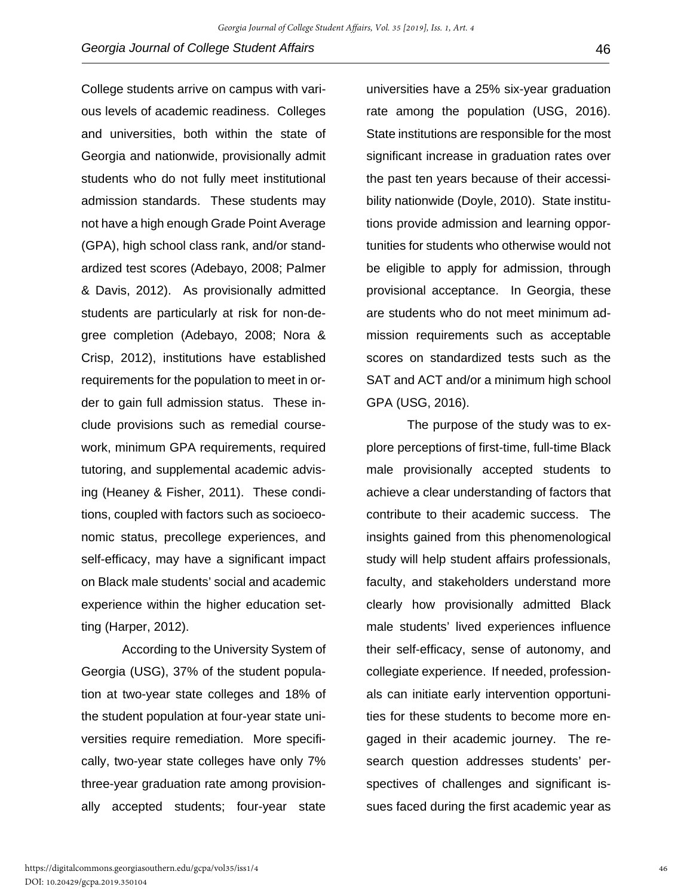College students arrive on campus with various levels of academic readiness. Colleges and universities, both within the state of Georgia and nationwide, provisionally admit students who do not fully meet institutional admission standards. These students may not have a high enough Grade Point Average (GPA), high school class rank, and/or standardized test scores (Adebayo, 2008; Palmer & Davis, 2012). As provisionally admitted students are particularly at risk for non-degree completion (Adebayo, 2008; Nora & Crisp, 2012), institutions have established requirements for the population to meet in order to gain full admission status. These include provisions such as remedial coursework, minimum GPA requirements, required tutoring, and supplemental academic advising (Heaney & Fisher, 2011). These conditions, coupled with factors such as socioeconomic status, precollege experiences, and self-efficacy, may have a significant impact on Black male students' social and academic experience within the higher education setting (Harper, 2012).

According to the University System of Georgia (USG), 37% of the student population at two-year state colleges and 18% of the student population at four-year state universities require remediation. More specifically, two-year state colleges have only 7% three-year graduation rate among provisionally accepted students; four-year state

universities have a 25% six-year graduation rate among the population (USG, 2016). State institutions are responsible for the most significant increase in graduation rates over the past ten years because of their accessibility nationwide (Doyle, 2010). State institutions provide admission and learning opportunities for students who otherwise would not be eligible to apply for admission, through provisional acceptance. In Georgia, these are students who do not meet minimum admission requirements such as acceptable scores on standardized tests such as the SAT and ACT and/or a minimum high school GPA (USG, 2016).

The purpose of the study was to explore perceptions of first-time, full-time Black male provisionally accepted students to achieve a clear understanding of factors that contribute to their academic success. The insights gained from this phenomenological study will help student affairs professionals, faculty, and stakeholders understand more clearly how provisionally admitted Black male students' lived experiences influence their self-efficacy, sense of autonomy, and collegiate experience. If needed, professionals can initiate early intervention opportunities for these students to become more engaged in their academic journey. The research question addresses students' perspectives of challenges and significant issues faced during the first academic year as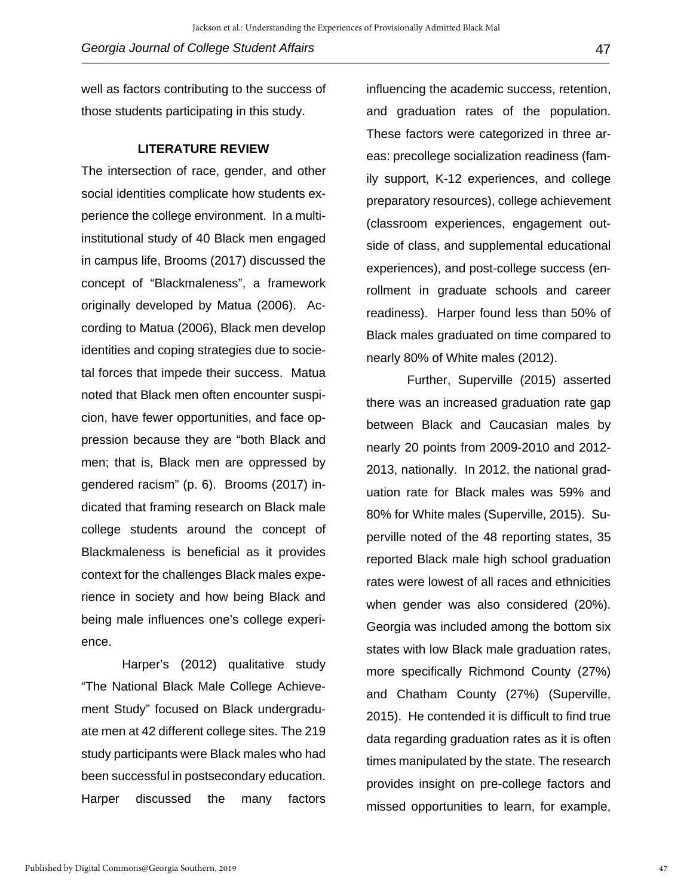well as factors contributing to the success of those students participating in this study.

#### **LITERATURE REVIEW**

The intersection of race, gender, and other social identities complicate how students experience the college environment. In a multiinstitutional study of 40 Black men engaged in campus life, Brooms (2017) discussed the concept of "Blackmaleness", a framework originally developed by Matua (2006). According to Matua (2006), Black men develop identities and coping strategies due to societal forces that impede their success. Matua noted that Black men often encounter suspicion, have fewer opportunities, and face oppression because they are "both Black and men; that is, Black men are oppressed by gendered racism" (p. 6). Brooms (2017) indicated that framing research on Black male college students around the concept of Blackmaleness is beneficial as it provides context for the challenges Black males experience in society and how being Black and being male influences one's college experience.

Harper's (2012) qualitative study "The National Black Male College Achievement Study" focused on Black undergraduate men at 42 different college sites. The 219 study participants were Black males who had been successful in postsecondary education. Harper discussed the many factors

influencing the academic success, retention, and graduation rates of the population. These factors were categorized in three areas: precollege socialization readiness (family support, K-12 experiences, and college preparatory resources), college achievement (classroom experiences, engagement outside of class, and supplemental educational experiences), and post-college success (enrollment in graduate schools and career readiness). Harper found less than 50% of Black males graduated on time compared to nearly 80% of White males (2012).

Further, Superville (2015) asserted there was an increased graduation rate gap between Black and Caucasian males by nearly 20 points from 2009-2010 and 2012- 2013, nationally. In 2012, the national graduation rate for Black males was 59% and 80% for White males (Superville, 2015). Superville noted of the 48 reporting states, 35 reported Black male high school graduation rates were lowest of all races and ethnicities when gender was also considered (20%). Georgia was included among the bottom six states with low Black male graduation rates, more specifically Richmond County (27%) and Chatham County (27%) (Superville, 2015). He contended it is difficult to find true data regarding graduation rates as it is often times manipulated by the state. The research provides insight on pre-college factors and missed opportunities to learn, for example,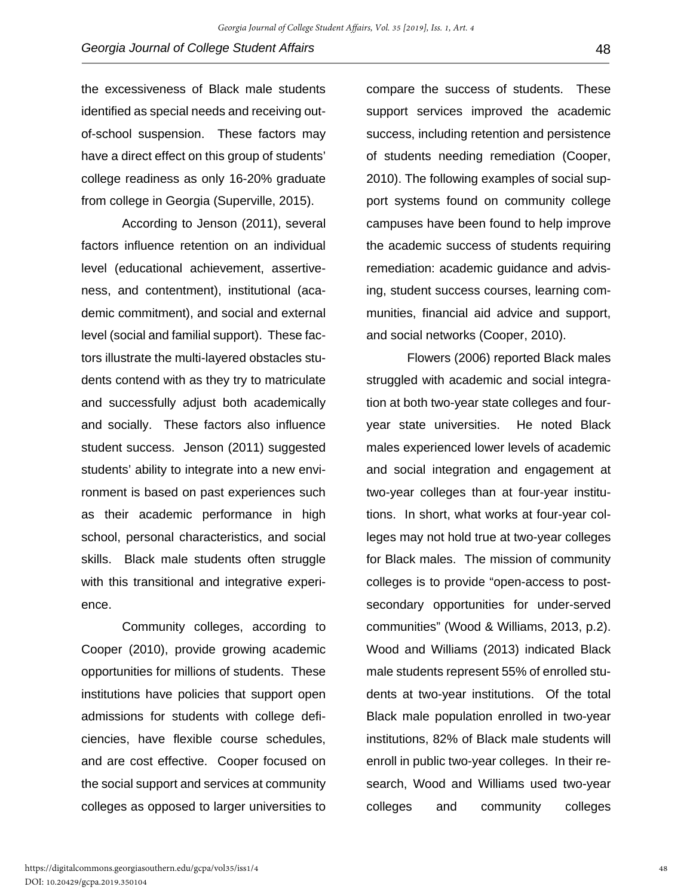the excessiveness of Black male students identified as special needs and receiving outof-school suspension. These factors may have a direct effect on this group of students' college readiness as only 16-20% graduate from college in Georgia (Superville, 2015).

According to Jenson (2011), several factors influence retention on an individual level (educational achievement, assertiveness, and contentment), institutional (academic commitment), and social and external level (social and familial support). These factors illustrate the multi-layered obstacles students contend with as they try to matriculate and successfully adjust both academically and socially. These factors also influence student success. Jenson (2011) suggested students' ability to integrate into a new environment is based on past experiences such as their academic performance in high school, personal characteristics, and social skills. Black male students often struggle with this transitional and integrative experience.

Community colleges, according to Cooper (2010), provide growing academic opportunities for millions of students. These institutions have policies that support open admissions for students with college deficiencies, have flexible course schedules, and are cost effective. Cooper focused on the social support and services at community colleges as opposed to larger universities to compare the success of students. These support services improved the academic success, including retention and persistence of students needing remediation (Cooper, 2010). The following examples of social support systems found on community college campuses have been found to help improve the academic success of students requiring remediation: academic guidance and advising, student success courses, learning communities, financial aid advice and support, and social networks (Cooper, 2010).

Flowers (2006) reported Black males struggled with academic and social integration at both two-year state colleges and fouryear state universities. He noted Black males experienced lower levels of academic and social integration and engagement at two-year colleges than at four-year institutions. In short, what works at four-year colleges may not hold true at two-year colleges for Black males. The mission of community colleges is to provide "open-access to postsecondary opportunities for under-served communities" (Wood & Williams, 2013, p.2). Wood and Williams (2013) indicated Black male students represent 55% of enrolled students at two-year institutions. Of the total Black male population enrolled in two-year institutions, 82% of Black male students will enroll in public two-year colleges. In their research, Wood and Williams used two-year colleges and community colleges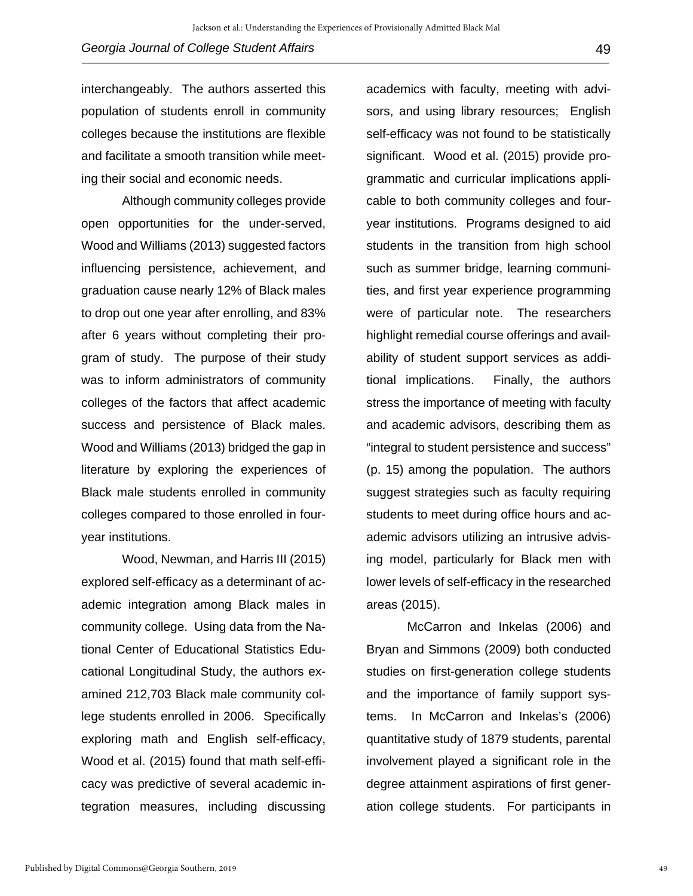interchangeably. The authors asserted this population of students enroll in community colleges because the institutions are flexible and facilitate a smooth transition while meeting their social and economic needs.

Although community colleges provide open opportunities for the under-served, Wood and Williams (2013) suggested factors influencing persistence, achievement, and graduation cause nearly 12% of Black males to drop out one year after enrolling, and 83% after 6 years without completing their program of study. The purpose of their study was to inform administrators of community colleges of the factors that affect academic success and persistence of Black males. Wood and Williams (2013) bridged the gap in literature by exploring the experiences of Black male students enrolled in community colleges compared to those enrolled in fouryear institutions.

Wood, Newman, and Harris III (2015) explored self-efficacy as a determinant of academic integration among Black males in community college. Using data from the National Center of Educational Statistics Educational Longitudinal Study, the authors examined 212,703 Black male community college students enrolled in 2006. Specifically exploring math and English self-efficacy, Wood et al. (2015) found that math self-efficacy was predictive of several academic integration measures, including discussing

academics with faculty, meeting with advisors, and using library resources; English self-efficacy was not found to be statistically significant. Wood et al. (2015) provide programmatic and curricular implications applicable to both community colleges and fouryear institutions. Programs designed to aid students in the transition from high school such as summer bridge, learning communities, and first year experience programming were of particular note. The researchers highlight remedial course offerings and availability of student support services as additional implications. Finally, the authors stress the importance of meeting with faculty and academic advisors, describing them as "integral to student persistence and success" (p. 15) among the population. The authors suggest strategies such as faculty requiring students to meet during office hours and academic advisors utilizing an intrusive advising model, particularly for Black men with lower levels of self-efficacy in the researched areas (2015).

McCarron and Inkelas (2006) and Bryan and Simmons (2009) both conducted studies on first-generation college students and the importance of family support systems. In McCarron and Inkelas's (2006) quantitative study of 1879 students, parental involvement played a significant role in the degree attainment aspirations of first generation college students. For participants in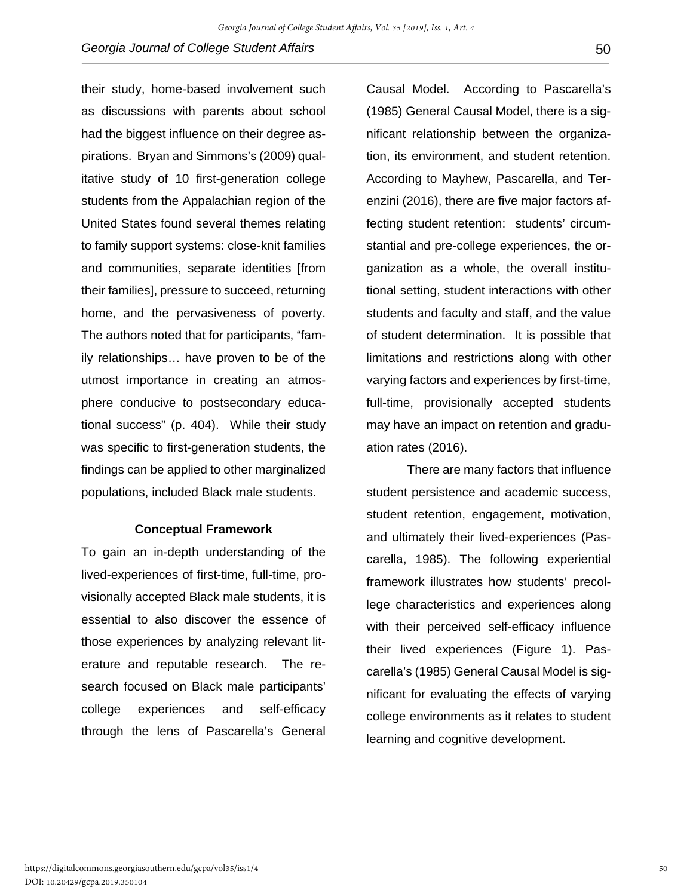their study, home-based involvement such as discussions with parents about school had the biggest influence on their degree aspirations. Bryan and Simmons's (2009) qualitative study of 10 first-generation college students from the Appalachian region of the United States found several themes relating to family support systems: close-knit families and communities, separate identities [from their families], pressure to succeed, returning home, and the pervasiveness of poverty. The authors noted that for participants, "family relationships… have proven to be of the utmost importance in creating an atmosphere conducive to postsecondary educational success" (p. 404). While their study was specific to first-generation students, the findings can be applied to other marginalized populations, included Black male students.

### **Conceptual Framework**

To gain an in-depth understanding of the lived-experiences of first-time, full-time, provisionally accepted Black male students, it is essential to also discover the essence of those experiences by analyzing relevant literature and reputable research. The research focused on Black male participants' college experiences and self-efficacy through the lens of Pascarella's General

Causal Model. According to Pascarella's (1985) General Causal Model, there is a significant relationship between the organization, its environment, and student retention. According to Mayhew, Pascarella, and Terenzini (2016), there are five major factors affecting student retention: students' circumstantial and pre-college experiences, the organization as a whole, the overall institutional setting, student interactions with other students and faculty and staff, and the value of student determination. It is possible that limitations and restrictions along with other varying factors and experiences by first-time, full-time, provisionally accepted students may have an impact on retention and graduation rates (2016).

There are many factors that influence student persistence and academic success, student retention, engagement, motivation, and ultimately their lived-experiences (Pascarella, 1985). The following experiential framework illustrates how students' precollege characteristics and experiences along with their perceived self-efficacy influence their lived experiences (Figure 1). Pascarella's (1985) General Causal Model is significant for evaluating the effects of varying college environments as it relates to student learning and cognitive development.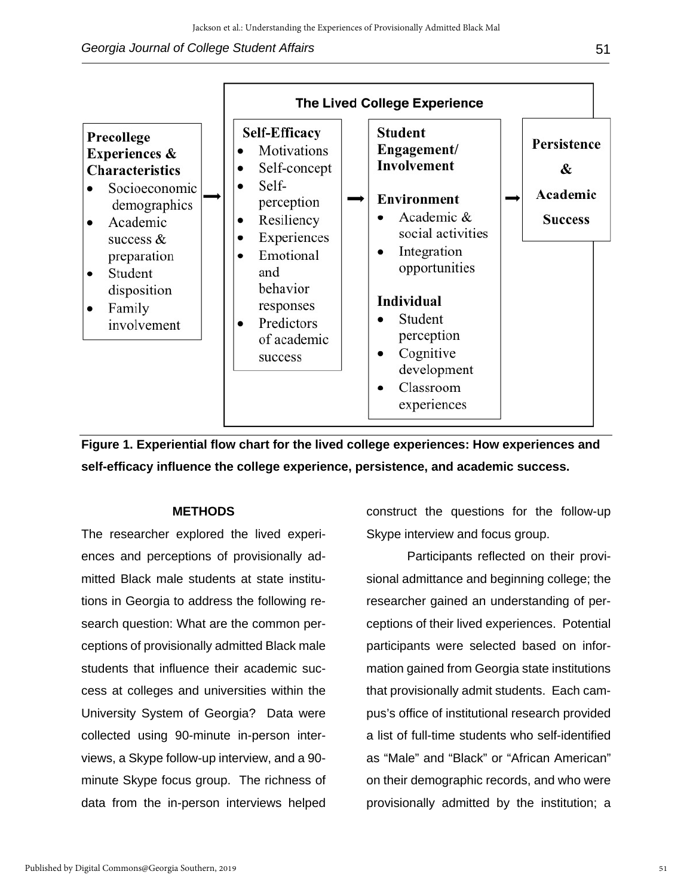## **Georgia Journal of College Student Affairs 51 and 2008 10 minutes of the Student Affairs** 51



**Figure 1. Experiential flow chart for the lived college experiences: How experiences and self-efficacy influence the college experience, persistence, and academic success.**

## **METHODS**

The researcher explored the lived experiences and perceptions of provisionally admitted Black male students at state institutions in Georgia to address the following research question: What are the common perceptions of provisionally admitted Black male students that influence their academic success at colleges and universities within the University System of Georgia?Data were collected using 90-minute in-person interviews, a Skype follow-up interview, and a 90 minute Skype focus group. The richness of data from the in-person interviews helped

construct the questions for the follow-up Skype interview and focus group.

Participants reflected on their provisional admittance and beginning college; the researcher gained an understanding of perceptions of their lived experiences. Potential participants were selected based on information gained from Georgia state institutions that provisionally admit students. Each campus's office of institutional research provided a list of full-time students who self-identified as "Male" and "Black" or "African American" on their demographic records, and who were provisionally admitted by the institution; a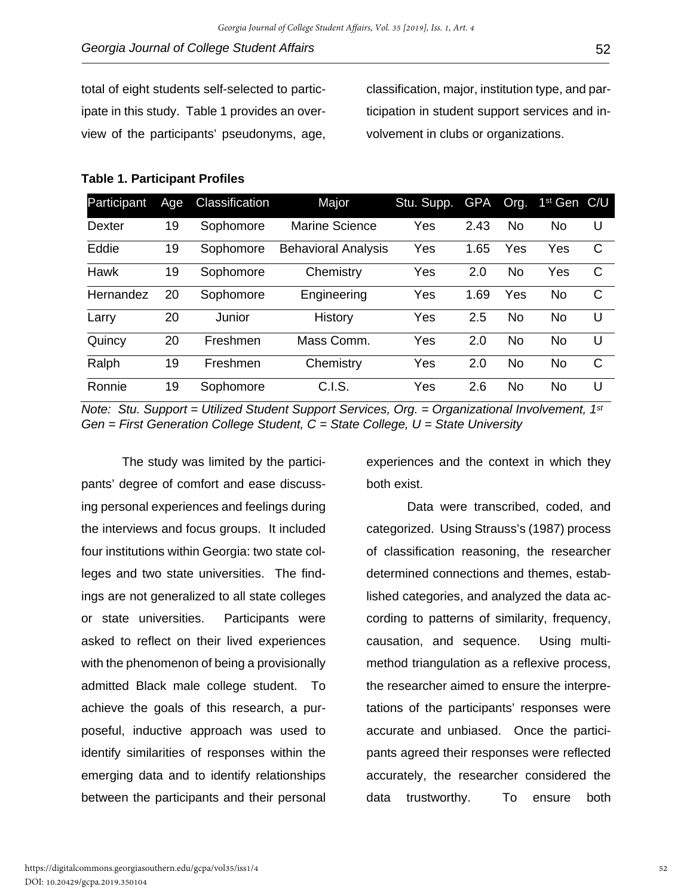total of eight students self-selected to participate in this study. Table 1 provides an overview of the participants' pseudonyms, age, classification, major, institution type, and participation in student support services and involvement in clubs or organizations.

#### **Table 1. Participant Profiles**

| Participant   | Age | Classification | Major                      | Stu. Supp. | <b>GPA</b> | Org.      | 1 <sup>st</sup> Gen | - C/U |
|---------------|-----|----------------|----------------------------|------------|------------|-----------|---------------------|-------|
| <b>Dexter</b> | 19  | Sophomore      | Marine Science             | Yes        | 2.43       | No        | No                  | U     |
| Eddie         | 19  | Sophomore      | <b>Behavioral Analysis</b> | Yes        | 1.65       | Yes       | Yes                 | C     |
| Hawk          | 19  | Sophomore      | Chemistry                  | Yes        | 2.0        | No        | Yes                 | C     |
| Hernandez     | 20  | Sophomore      | Engineering                | Yes        | 1.69       | Yes       | No.                 | C     |
| Larry         | 20  | Junior         | History                    | Yes        | 2.5        | No        | No.                 | U     |
| Quincy        | 20  | Freshmen       | Mass Comm.                 | Yes        | 2.0        | <b>No</b> | <b>No</b>           | U     |
| Ralph         | 19  | Freshmen       | Chemistry                  | Yes        | 2.0        | No        | No.                 | C     |
| Ronnie        | 19  | Sophomore      | C.I.S.                     | Yes        | 2.6        | No        | No.                 | U     |

*Note: Stu. Support = Utilized Student Support Services, Org. = Organizational Involvement, 1st Gen = First Generation College Student, C = State College, U = State University*

The study was limited by the participants' degree of comfort and ease discussing personal experiences and feelings during the interviews and focus groups. It included four institutions within Georgia: two state colleges and two state universities. The findings are not generalized to all state colleges or state universities. Participants were asked to reflect on their lived experiences with the phenomenon of being a provisionally admitted Black male college student. To achieve the goals of this research, a purposeful, inductive approach was used to identify similarities of responses within the emerging data and to identify relationships between the participants and their personal experiences and the context in which they both exist.

Data were transcribed, coded, and categorized. Using Strauss's (1987) process of classification reasoning, the researcher determined connections and themes, established categories, and analyzed the data according to patterns of similarity, frequency, causation, and sequence. Using multimethod triangulation as a reflexive process, the researcher aimed to ensure the interpretations of the participants' responses were accurate and unbiased. Once the participants agreed their responses were reflected accurately, the researcher considered the data trustworthy. To ensure both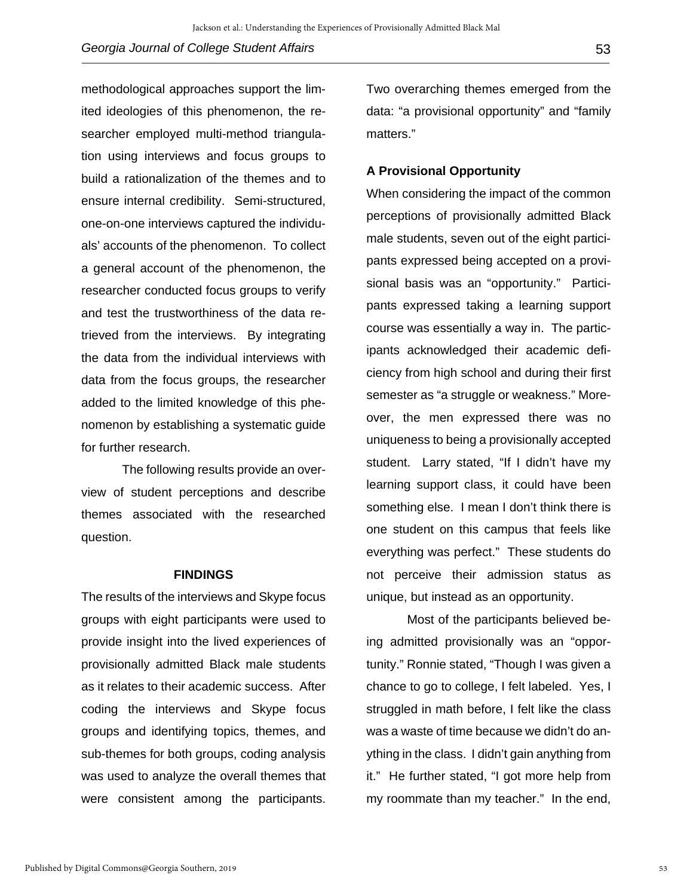methodological approaches support the limited ideologies of this phenomenon, the researcher employed multi-method triangulation using interviews and focus groups to build a rationalization of the themes and to ensure internal credibility. Semi-structured, one-on-one interviews captured the individuals' accounts of the phenomenon. To collect a general account of the phenomenon, the researcher conducted focus groups to verify and test the trustworthiness of the data retrieved from the interviews. By integrating the data from the individual interviews with data from the focus groups, the researcher added to the limited knowledge of this phenomenon by establishing a systematic guide for further research.

The following results provide an overview of student perceptions and describe themes associated with the researched question.

#### **FINDINGS**

The results of the interviews and Skype focus groups with eight participants were used to provide insight into the lived experiences of provisionally admitted Black male students as it relates to their academic success. After coding the interviews and Skype focus groups and identifying topics, themes, and sub-themes for both groups, coding analysis was used to analyze the overall themes that were consistent among the participants.

Two overarching themes emerged from the data: "a provisional opportunity" and "family matters."

# **A Provisional Opportunity**

When considering the impact of the common perceptions of provisionally admitted Black male students, seven out of the eight participants expressed being accepted on a provisional basis was an "opportunity." Participants expressed taking a learning support course was essentially a way in. The participants acknowledged their academic deficiency from high school and during their first semester as "a struggle or weakness." Moreover, the men expressed there was no uniqueness to being a provisionally accepted student. Larry stated, "If I didn't have my learning support class, it could have been something else. I mean I don't think there is one student on this campus that feels like everything was perfect." These students do not perceive their admission status as unique, but instead as an opportunity.

Most of the participants believed being admitted provisionally was an "opportunity." Ronnie stated, "Though I was given a chance to go to college, I felt labeled. Yes, I struggled in math before, I felt like the class was a waste of time because we didn't do anything in the class. I didn't gain anything from it." He further stated, "I got more help from my roommate than my teacher." In the end,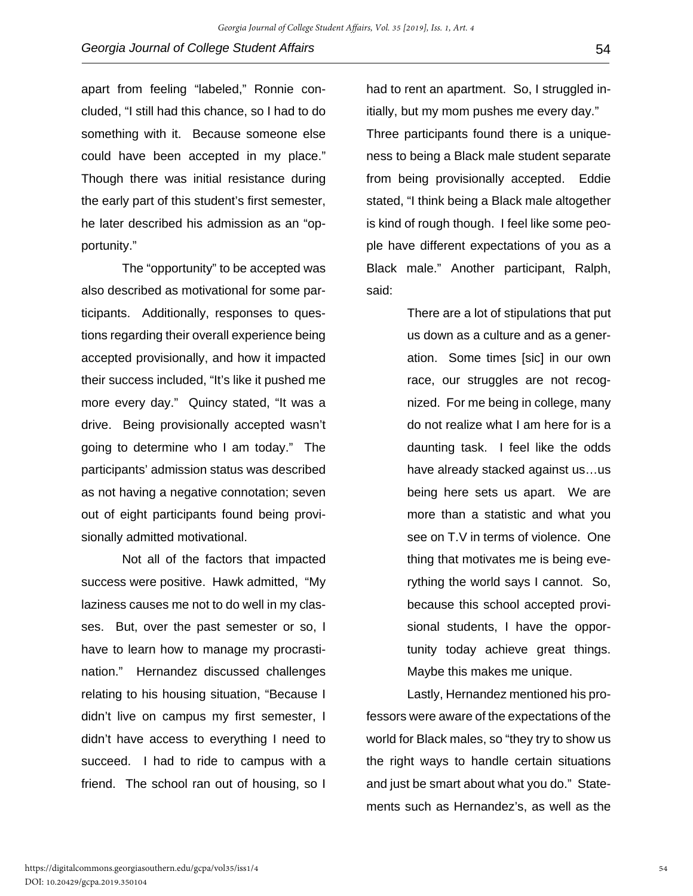apart from feeling "labeled," Ronnie concluded, "I still had this chance, so I had to do something with it. Because someone else could have been accepted in my place." Though there was initial resistance during the early part of this student's first semester, he later described his admission as an "opportunity."

The "opportunity" to be accepted was also described as motivational for some participants. Additionally, responses to questions regarding their overall experience being accepted provisionally, and how it impacted their success included, "It's like it pushed me more every day." Quincy stated, "It was a drive. Being provisionally accepted wasn't going to determine who I am today." The participants' admission status was described as not having a negative connotation; seven out of eight participants found being provisionally admitted motivational.

Not all of the factors that impacted success were positive. Hawk admitted, "My laziness causes me not to do well in my classes. But, over the past semester or so, I have to learn how to manage my procrastination." Hernandez discussed challenges relating to his housing situation, "Because I didn't live on campus my first semester, I didn't have access to everything I need to succeed. I had to ride to campus with a friend. The school ran out of housing, so I

had to rent an apartment. So, I struggled initially, but my mom pushes me every day."

Three participants found there is a uniqueness to being a Black male student separate from being provisionally accepted. Eddie stated, "I think being a Black male altogether is kind of rough though. I feel like some people have different expectations of you as a Black male." Another participant, Ralph, said:

> There are a lot of stipulations that put us down as a culture and as a generation. Some times [sic] in our own race, our struggles are not recognized. For me being in college, many do not realize what I am here for is a daunting task. I feel like the odds have already stacked against us…us being here sets us apart. We are more than a statistic and what you see on T.V in terms of violence. One thing that motivates me is being everything the world says I cannot. So, because this school accepted provisional students, I have the opportunity today achieve great things. Maybe this makes me unique.

Lastly, Hernandez mentioned his professors were aware of the expectations of the world for Black males, so "they try to show us the right ways to handle certain situations and just be smart about what you do." Statements such as Hernandez's, as well as the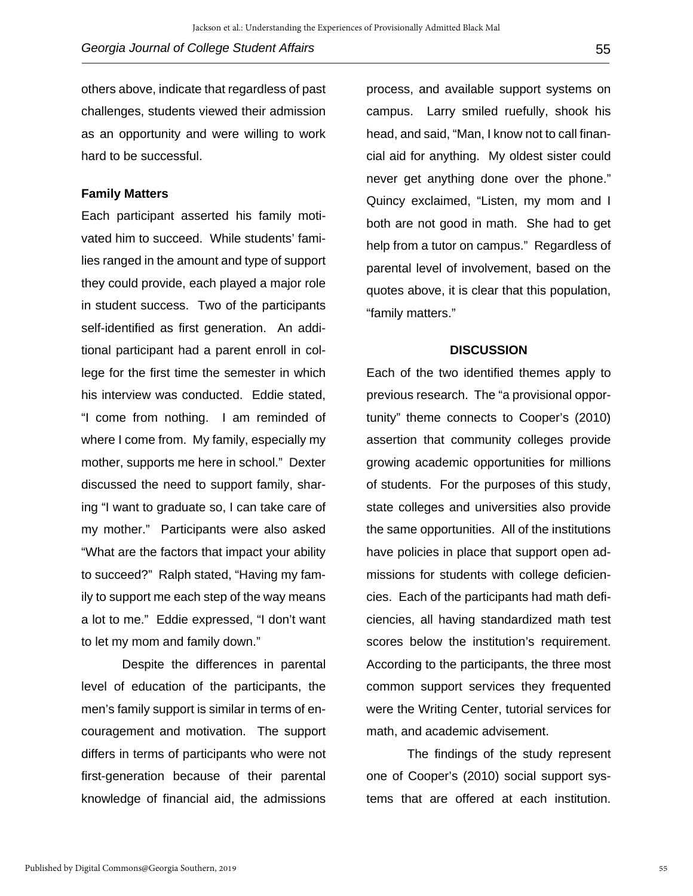others above, indicate that regardless of past challenges, students viewed their admission as an opportunity and were willing to work hard to be successful.

#### **Family Matters**

Each participant asserted his family motivated him to succeed. While students' families ranged in the amount and type of support they could provide, each played a major role in student success. Two of the participants self-identified as first generation. An additional participant had a parent enroll in college for the first time the semester in which his interview was conducted. Eddie stated, "I come from nothing. I am reminded of where I come from. My family, especially my mother, supports me here in school." Dexter discussed the need to support family, sharing "I want to graduate so, I can take care of my mother." Participants were also asked "What are the factors that impact your ability to succeed?" Ralph stated, "Having my family to support me each step of the way means a lot to me." Eddie expressed, "I don't want to let my mom and family down."

Despite the differences in parental level of education of the participants, the men's family support is similar in terms of encouragement and motivation. The support differs in terms of participants who were not first-generation because of their parental knowledge of financial aid, the admissions

process, and available support systems on campus. Larry smiled ruefully, shook his head, and said, "Man, I know not to call financial aid for anything. My oldest sister could never get anything done over the phone." Quincy exclaimed, "Listen, my mom and I both are not good in math. She had to get help from a tutor on campus." Regardless of parental level of involvement, based on the quotes above, it is clear that this population, "family matters."

#### **DISCUSSION**

Each of the two identified themes apply to previous research. The "a provisional opportunity" theme connects to Cooper's (2010) assertion that community colleges provide growing academic opportunities for millions of students. For the purposes of this study, state colleges and universities also provide the same opportunities. All of the institutions have policies in place that support open admissions for students with college deficiencies. Each of the participants had math deficiencies, all having standardized math test scores below the institution's requirement. According to the participants, the three most common support services they frequented were the Writing Center, tutorial services for math, and academic advisement.

The findings of the study represent one of Cooper's (2010) social support systems that are offered at each institution.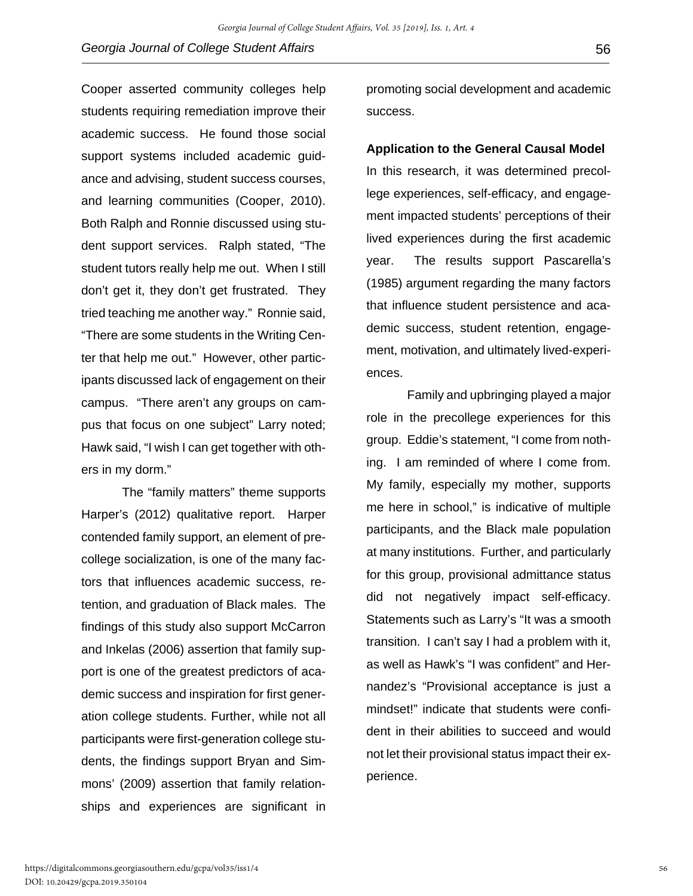Cooper asserted community colleges help students requiring remediation improve their academic success. He found those social support systems included academic guidance and advising, student success courses, and learning communities (Cooper, 2010). Both Ralph and Ronnie discussed using student support services. Ralph stated, "The student tutors really help me out. When I still don't get it, they don't get frustrated. They tried teaching me another way." Ronnie said, "There are some students in the Writing Center that help me out." However, other participants discussed lack of engagement on their campus. "There aren't any groups on campus that focus on one subject" Larry noted; Hawk said, "I wish I can get together with others in my dorm."

The "family matters" theme supports Harper's (2012) qualitative report. Harper contended family support, an element of precollege socialization, is one of the many factors that influences academic success, retention, and graduation of Black males. The findings of this study also support McCarron and Inkelas (2006) assertion that family support is one of the greatest predictors of academic success and inspiration for first generation college students. Further, while not all participants were first-generation college students, the findings support Bryan and Simmons' (2009) assertion that family relationships and experiences are significant in

promoting social development and academic success.

# **Application to the General Causal Model**

In this research, it was determined precollege experiences, self-efficacy, and engagement impacted students' perceptions of their lived experiences during the first academic year. The results support Pascarella's (1985) argument regarding the many factors that influence student persistence and academic success, student retention, engagement, motivation, and ultimately lived-experiences.

Family and upbringing played a major role in the precollege experiences for this group. Eddie's statement, "I come from nothing. I am reminded of where I come from. My family, especially my mother, supports me here in school," is indicative of multiple participants, and the Black male population at many institutions. Further, and particularly for this group, provisional admittance status did not negatively impact self-efficacy. Statements such as Larry's "It was a smooth transition. I can't say I had a problem with it, as well as Hawk's "I was confident" and Hernandez's "Provisional acceptance is just a mindset!" indicate that students were confident in their abilities to succeed and would not let their provisional status impact their experience.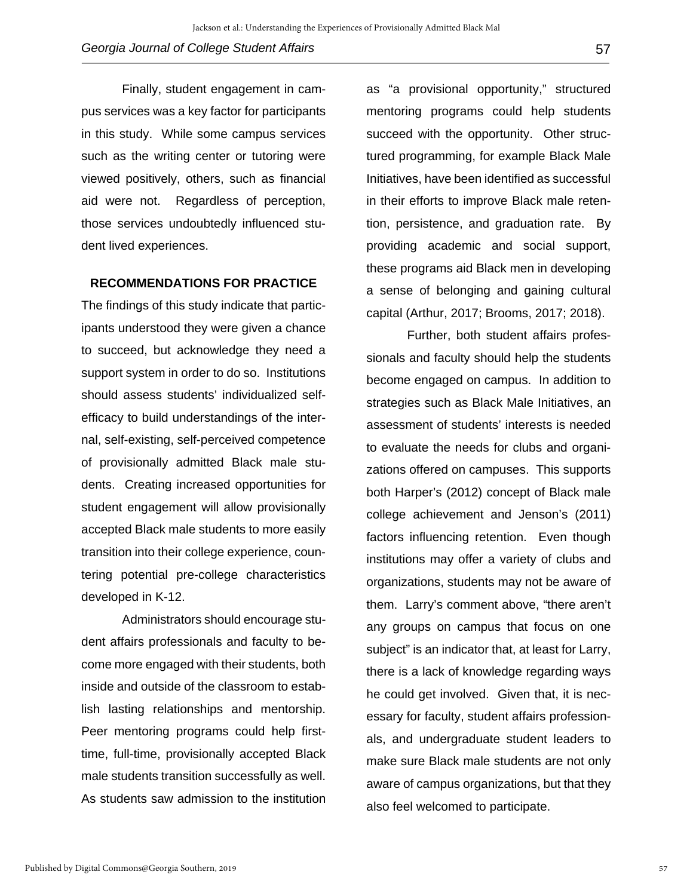Finally, student engagement in campus services was a key factor for participants in this study. While some campus services such as the writing center or tutoring were viewed positively, others, such as financial aid were not. Regardless of perception, those services undoubtedly influenced student lived experiences.

#### **RECOMMENDATIONS FOR PRACTICE**

The findings of this study indicate that participants understood they were given a chance to succeed, but acknowledge they need a support system in order to do so. Institutions should assess students' individualized selfefficacy to build understandings of the internal, self-existing, self-perceived competence of provisionally admitted Black male students. Creating increased opportunities for student engagement will allow provisionally accepted Black male students to more easily transition into their college experience, countering potential pre-college characteristics developed in K-12.

Administrators should encourage student affairs professionals and faculty to become more engaged with their students, both inside and outside of the classroom to establish lasting relationships and mentorship. Peer mentoring programs could help firsttime, full-time, provisionally accepted Black male students transition successfully as well. As students saw admission to the institution

as "a provisional opportunity," structured mentoring programs could help students succeed with the opportunity. Other structured programming, for example Black Male Initiatives, have been identified as successful in their efforts to improve Black male retention, persistence, and graduation rate. By providing academic and social support, these programs aid Black men in developing a sense of belonging and gaining cultural capital (Arthur, 2017; Brooms, 2017; 2018).

Further, both student affairs professionals and faculty should help the students become engaged on campus. In addition to strategies such as Black Male Initiatives, an assessment of students' interests is needed to evaluate the needs for clubs and organizations offered on campuses. This supports both Harper's (2012) concept of Black male college achievement and Jenson's (2011) factors influencing retention. Even though institutions may offer a variety of clubs and organizations, students may not be aware of them. Larry's comment above, "there aren't any groups on campus that focus on one subject" is an indicator that, at least for Larry, there is a lack of knowledge regarding ways he could get involved. Given that, it is necessary for faculty, student affairs professionals, and undergraduate student leaders to make sure Black male students are not only aware of campus organizations, but that they also feel welcomed to participate.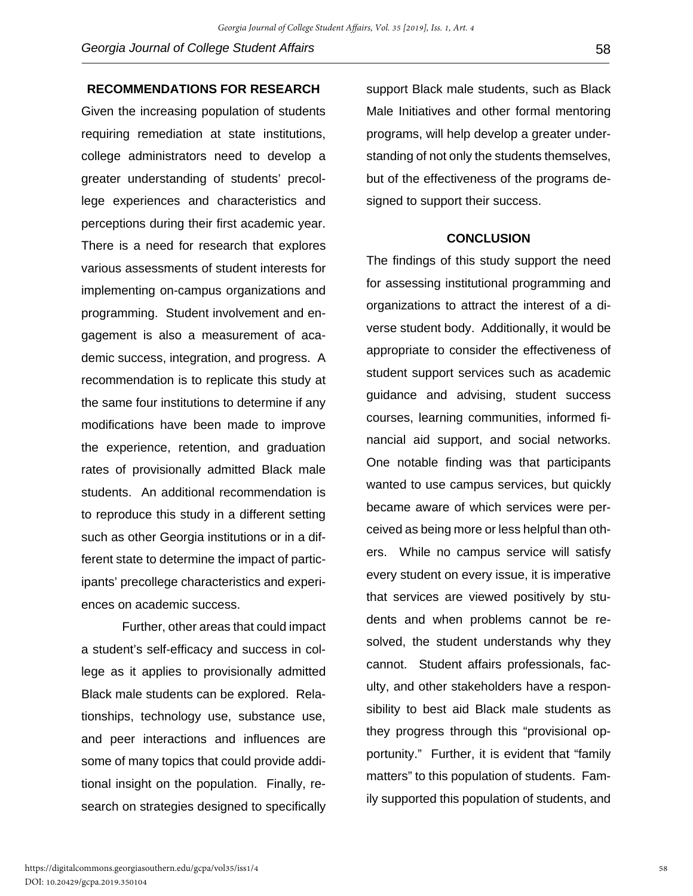## **RECOMMENDATIONS FOR RESEARCH**

Given the increasing population of students requiring remediation at state institutions, college administrators need to develop a greater understanding of students' precollege experiences and characteristics and perceptions during their first academic year. There is a need for research that explores various assessments of student interests for implementing on-campus organizations and programming. Student involvement and engagement is also a measurement of academic success, integration, and progress. A recommendation is to replicate this study at the same four institutions to determine if any modifications have been made to improve the experience, retention, and graduation rates of provisionally admitted Black male students. An additional recommendation is to reproduce this study in a different setting such as other Georgia institutions or in a different state to determine the impact of participants' precollege characteristics and experiences on academic success.

Further, other areas that could impact a student's self-efficacy and success in college as it applies to provisionally admitted Black male students can be explored. Relationships, technology use, substance use, and peer interactions and influences are some of many topics that could provide additional insight on the population. Finally, research on strategies designed to specifically

support Black male students, such as Black Male Initiatives and other formal mentoring programs, will help develop a greater understanding of not only the students themselves, but of the effectiveness of the programs designed to support their success.

### **CONCLUSION**

The findings of this study support the need for assessing institutional programming and organizations to attract the interest of a diverse student body. Additionally, it would be appropriate to consider the effectiveness of student support services such as academic guidance and advising, student success courses, learning communities, informed financial aid support, and social networks. One notable finding was that participants wanted to use campus services, but quickly became aware of which services were perceived as being more or less helpful than others. While no campus service will satisfy every student on every issue, it is imperative that services are viewed positively by students and when problems cannot be resolved, the student understands why they cannot. Student affairs professionals, faculty, and other stakeholders have a responsibility to best aid Black male students as they progress through this "provisional opportunity." Further, it is evident that "family matters" to this population of students. Family supported this population of students, and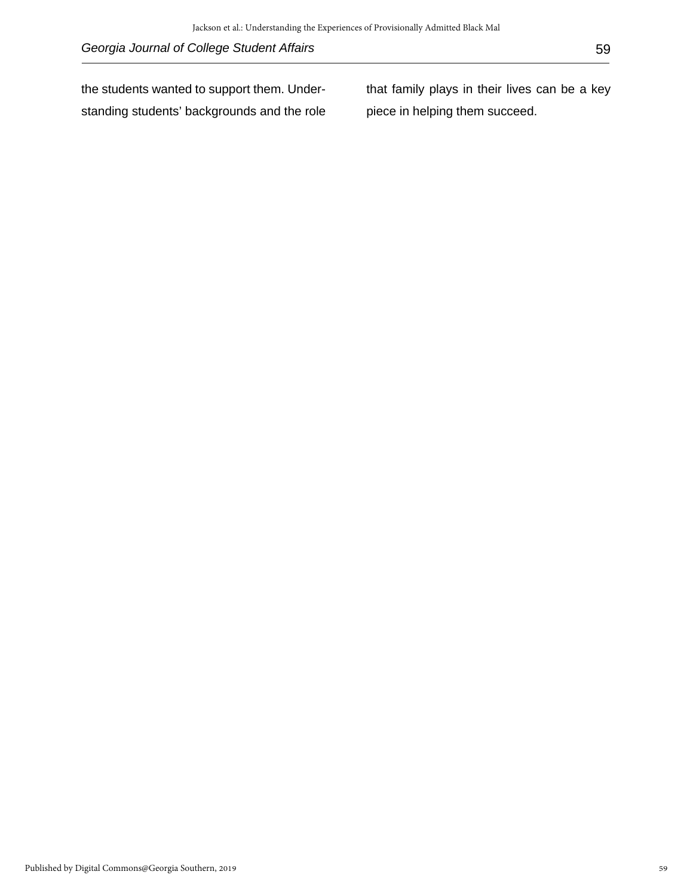the students wanted to support them. Understanding students' backgrounds and the role that family plays in their lives can be a key piece in helping them succeed.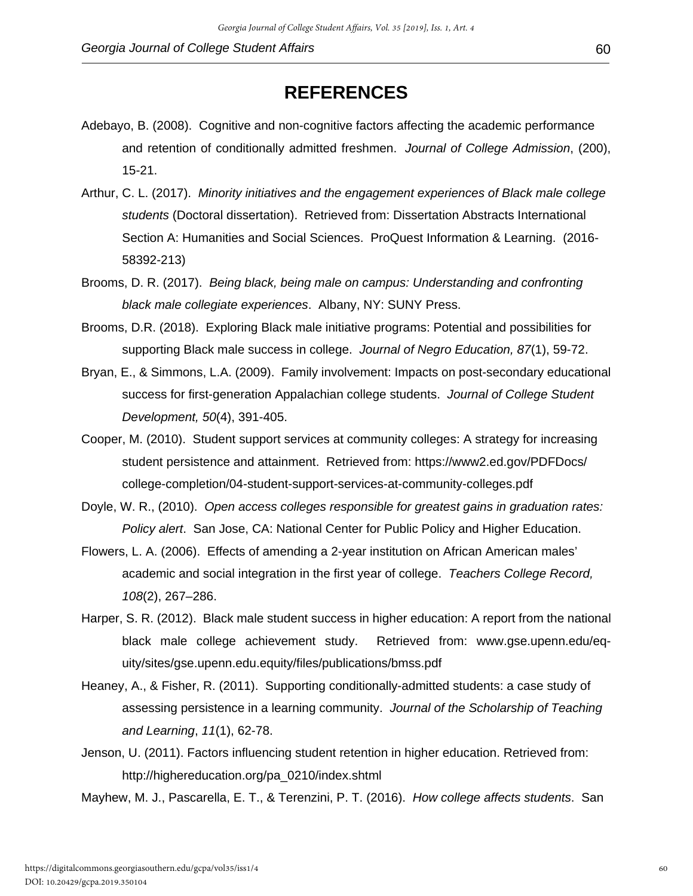- Adebayo, B. (2008). Cognitive and non-cognitive factors affecting the academic performance and retention of conditionally admitted freshmen. *Journal of College Admission*, (200), 15-21.
- Arthur, C. L. (2017). *Minority initiatives and the engagement experiences of Black male college students* (Doctoral dissertation). Retrieved from: Dissertation Abstracts International Section A: Humanities and Social Sciences. ProQuest Information & Learning. (2016- 58392-213)
- Brooms, D. R. (2017). *Being black, being male on campus: Understanding and confronting black male collegiate experiences*. Albany, NY: SUNY Press.
- Brooms, D.R. (2018). Exploring Black male initiative programs: Potential and possibilities for supporting Black male success in college. *Journal of Negro Education, 87*(1), 59-72.
- Bryan, E., & Simmons, L.A. (2009). Family involvement: Impacts on post-secondary educational success for first-generation Appalachian college students. *Journal of College Student Development, 50*(4), 391-405.
- Cooper, M. (2010). Student support services at community colleges: A strategy for increasing student persistence and attainment. Retrieved from: https://www2.ed.gov/PDFDocs/ college-completion/04-student-support-services-at-community-colleges.pdf
- Doyle, W. R., (2010). *Open access colleges responsible for greatest gains in graduation rates: Policy alert*. San Jose, CA: National Center for Public Policy and Higher Education.
- Flowers, L. A. (2006). Effects of amending a 2-year institution on African American males' academic and social integration in the first year of college. *Teachers College Record, 108*(2), 267–286.
- Harper, S. R. (2012). Black male student success in higher education: A report from the national black male college achievement study. Retrieved from: www.gse.upenn.edu/equity/sites/gse.upenn.edu.equity/files/publications/bmss.pdf
- Heaney, A., & Fisher, R. (2011). Supporting conditionally-admitted students: a case study of assessing persistence in a learning community. *Journal of the Scholarship of Teaching and Learning*, *11*(1), 62-78.
- Jenson, U. (2011). Factors influencing student retention in higher education. Retrieved from: http://highereducation.org/pa\_0210/index.shtml

Mayhew, M. J., Pascarella, E. T., & Terenzini, P. T. (2016). *How college affects students*. San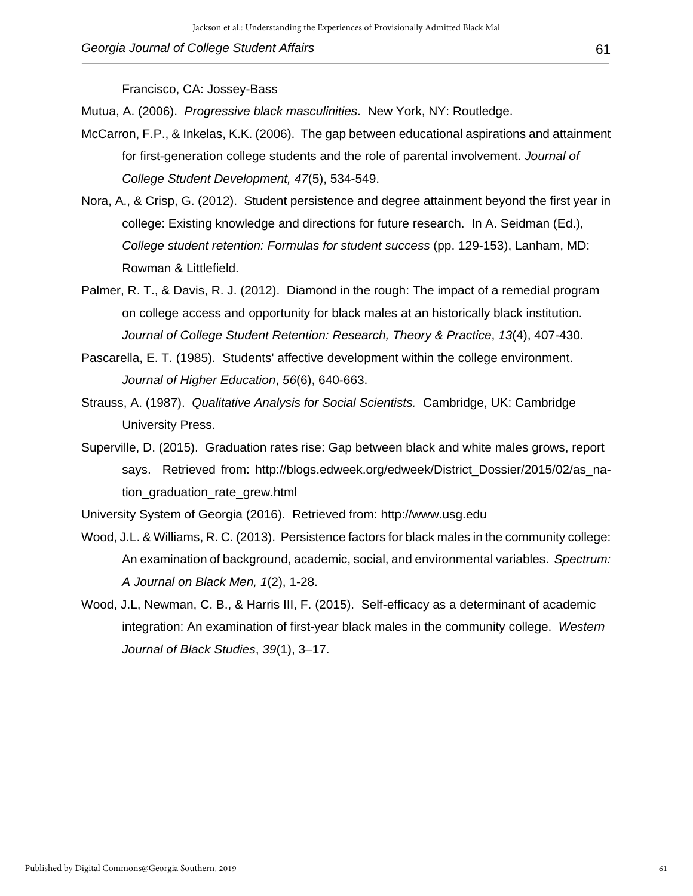Francisco, CA: Jossey-Bass

Mutua, A. (2006). *Progressive black masculinities*. New York, NY: Routledge.

- McCarron, F.P., & Inkelas, K.K. (2006). The gap between educational aspirations and attainment for first-generation college students and the role of parental involvement. *Journal of College Student Development, 47*(5), 534-549.
- Nora, A., & Crisp, G. (2012). Student persistence and degree attainment beyond the first year in college: Existing knowledge and directions for future research. In A. Seidman (Ed.), *College student retention: Formulas for student success* (pp. 129-153), Lanham, MD: Rowman & Littlefield.
- Palmer, R. T., & Davis, R. J. (2012). Diamond in the rough: The impact of a remedial program on college access and opportunity for black males at an historically black institution. *Journal of College Student Retention: Research, Theory & Practice*, *13*(4), 407-430.
- Pascarella, E. T. (1985). Students' affective development within the college environment. *Journal of Higher Education*, *56*(6), 640-663.
- Strauss, A. (1987). *Qualitative Analysis for Social Scientists.* Cambridge, UK: Cambridge University Press.
- Superville, D. (2015). Graduation rates rise: Gap between black and white males grows, report says. Retrieved from: http://blogs.edweek.org/edweek/District\_Dossier/2015/02/as\_nation graduation rate grew.html

University System of Georgia (2016). Retrieved from: http://www.usg.edu

- Wood, J.L. & Williams, R. C. (2013). Persistence factors for black males in the community college: An examination of background, academic, social, and environmental variables. *Spectrum: A Journal on Black Men, 1*(2), 1-28.
- Wood, J.L, Newman, C. B., & Harris III, F. (2015). Self-efficacy as a determinant of academic integration: An examination of first-year black males in the community college. *Western Journal of Black Studies*, *39*(1), 3–17.